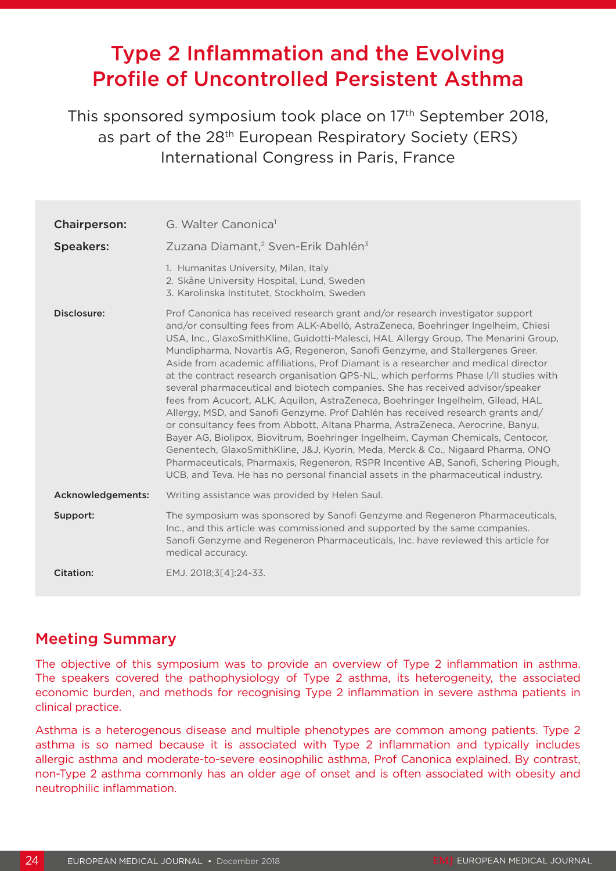# Type 2 Inflammation and the Evolving Profile of Uncontrolled Persistent Asthma

This sponsored symposium took place on 17<sup>th</sup> September 2018, as part of the 28<sup>th</sup> European Respiratory Society (ERS) International Congress in Paris, France

| <b>Chairperson:</b> | G. Walter Canonica <sup>1</sup>                                                                                                                                                                                                                                                                                                                                                                                                                                                                                                                                                                                                                                                                                                                                                                                                                                                                                                                                                                                                                                                                                                                                                                                         |
|---------------------|-------------------------------------------------------------------------------------------------------------------------------------------------------------------------------------------------------------------------------------------------------------------------------------------------------------------------------------------------------------------------------------------------------------------------------------------------------------------------------------------------------------------------------------------------------------------------------------------------------------------------------------------------------------------------------------------------------------------------------------------------------------------------------------------------------------------------------------------------------------------------------------------------------------------------------------------------------------------------------------------------------------------------------------------------------------------------------------------------------------------------------------------------------------------------------------------------------------------------|
| <b>Speakers:</b>    | Zuzana Diamant, <sup>2</sup> Sven-Erik Dahlén <sup>3</sup>                                                                                                                                                                                                                                                                                                                                                                                                                                                                                                                                                                                                                                                                                                                                                                                                                                                                                                                                                                                                                                                                                                                                                              |
|                     | 1. Humanitas University, Milan, Italy<br>2. Skåne University Hospital, Lund, Sweden<br>3. Karolinska Institutet, Stockholm, Sweden                                                                                                                                                                                                                                                                                                                                                                                                                                                                                                                                                                                                                                                                                                                                                                                                                                                                                                                                                                                                                                                                                      |
| Disclosure:         | Prof Canonica has received research grant and/or research investigator support<br>and/or consulting fees from ALK-Abelló, AstraZeneca, Boehringer Ingelheim, Chiesi<br>USA, Inc., GlaxoSmithKline, Guidotti-Malesci, HAL Allergy Group, The Menarini Group,<br>Mundipharma, Novartis AG, Regeneron, Sanofi Genzyme, and Stallergenes Greer.<br>Aside from academic affiliations, Prof Diamant is a researcher and medical director<br>at the contract research organisation QPS-NL, which performs Phase I/II studies with<br>several pharmaceutical and biotech companies. She has received advisor/speaker<br>fees from Acucort, ALK, Aquilon, AstraZeneca, Boehringer Ingelheim, Gilead, HAL<br>Allergy, MSD, and Sanofi Genzyme. Prof Dahlén has received research grants and/<br>or consultancy fees from Abbott, Altana Pharma, AstraZeneca, Aerocrine, Banyu,<br>Bayer AG, Biolipox, Biovitrum, Boehringer Ingelheim, Cayman Chemicals, Centocor,<br>Genentech, GlaxoSmithKline, J&J, Kyorin, Meda, Merck & Co., Nigaard Pharma, ONO<br>Pharmaceuticals, Pharmaxis, Regeneron, RSPR Incentive AB, Sanofi, Schering Plough,<br>UCB, and Teva. He has no personal financial assets in the pharmaceutical industry. |
| Acknowledgements:   | Writing assistance was provided by Helen Saul.                                                                                                                                                                                                                                                                                                                                                                                                                                                                                                                                                                                                                                                                                                                                                                                                                                                                                                                                                                                                                                                                                                                                                                          |
| Support:            | The symposium was sponsored by Sanofi Genzyme and Regeneron Pharmaceuticals,<br>Inc., and this article was commissioned and supported by the same companies.<br>Sanofi Genzyme and Regeneron Pharmaceuticals, Inc. have reviewed this article for<br>medical accuracy.                                                                                                                                                                                                                                                                                                                                                                                                                                                                                                                                                                                                                                                                                                                                                                                                                                                                                                                                                  |
| Citation:           | EMJ. 2018;3[4]:24-33.                                                                                                                                                                                                                                                                                                                                                                                                                                                                                                                                                                                                                                                                                                                                                                                                                                                                                                                                                                                                                                                                                                                                                                                                   |

# Meeting Summary

The objective of this symposium was to provide an overview of Type 2 inflammation in asthma. The speakers covered the pathophysiology of Type 2 asthma, its heterogeneity, the associated economic burden, and methods for recognising Type 2 inflammation in severe asthma patients in clinical practice.

Asthma is a heterogenous disease and multiple phenotypes are common among patients. Type 2 asthma is so named because it is associated with Type 2 inflammation and typically includes allergic asthma and moderate-to-severe eosinophilic asthma, Prof Canonica explained. By contrast, non-Type 2 asthma commonly has an older age of onset and is often associated with obesity and neutrophilic inflammation.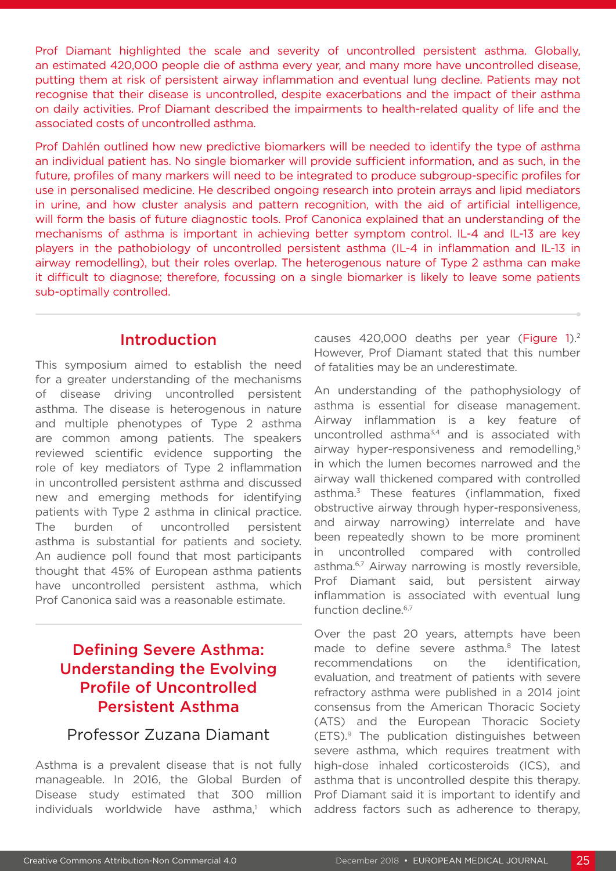Prof Diamant highlighted the scale and severity of uncontrolled persistent asthma. Globally, an estimated 420,000 people die of asthma every year, and many more have uncontrolled disease, putting them at risk of persistent airway inflammation and eventual lung decline. Patients may not recognise that their disease is uncontrolled, despite exacerbations and the impact of their asthma on daily activities. Prof Diamant described the impairments to health-related quality of life and the associated costs of uncontrolled asthma.

Prof Dahlén outlined how new predictive biomarkers will be needed to identify the type of asthma an individual patient has. No single biomarker will provide sufficient information, and as such, in the future, profiles of many markers will need to be integrated to produce subgroup-specific profiles for use in personalised medicine. He described ongoing research into protein arrays and lipid mediators in urine, and how cluster analysis and pattern recognition, with the aid of artificial intelligence, will form the basis of future diagnostic tools. Prof Canonica explained that an understanding of the mechanisms of asthma is important in achieving better symptom control. IL-4 and IL-13 are key players in the pathobiology of uncontrolled persistent asthma (IL-4 in inflammation and IL-13 in airway remodelling), but their roles overlap. The heterogenous nature of Type 2 asthma can make it difficult to diagnose; therefore, focussing on a single biomarker is likely to leave some patients sub-optimally controlled.

### Introduction

This symposium aimed to establish the need for a greater understanding of the mechanisms of disease driving uncontrolled persistent asthma. The disease is heterogenous in nature and multiple phenotypes of Type 2 asthma are common among patients. The speakers reviewed scientific evidence supporting the role of key mediators of Type 2 inflammation in uncontrolled persistent asthma and discussed new and emerging methods for identifying patients with Type 2 asthma in clinical practice. The burden of uncontrolled persistent asthma is substantial for patients and society. An audience poll found that most participants thought that 45% of European asthma patients have uncontrolled persistent asthma, which Prof Canonica said was a reasonable estimate.

# Defining Severe Asthma: Understanding the Evolving Profile of Uncontrolled Persistent Asthma

### Professor Zuzana Diamant

Asthma is a prevalent disease that is not fully manageable. In 2016, the Global Burden of Disease study estimated that 300 million individuals worldwide have asthma,<sup>1</sup> which causes 420,000 deaths per year (Figure 1).<sup>2</sup> However, Prof Diamant stated that this number of fatalities may be an underestimate.

An understanding of the pathophysiology of asthma is essential for disease management. Airway inflammation is a key feature of uncontrolled asthma<sup>3,4</sup> and is associated with airway hyper-responsiveness and remodelling.<sup>5</sup> in which the lumen becomes narrowed and the airway wall thickened compared with controlled asthma.<sup>3</sup> These features (inflammation, fixed obstructive airway through hyper-responsiveness, and airway narrowing) interrelate and have been repeatedly shown to be more prominent in uncontrolled compared with controlled asthma.<sup>6,7</sup> Airway narrowing is mostly reversible, Prof Diamant said, but persistent airway inflammation is associated with eventual lung function decline.<sup>6,7</sup>

Over the past 20 years, attempts have been made to define severe asthma.<sup>8</sup> The latest recommendations on the identification, evaluation, and treatment of patients with severe refractory asthma were published in a 2014 joint consensus from the American Thoracic Society (ATS) and the European Thoracic Society (ETS).9 The publication distinguishes between severe asthma, which requires treatment with high-dose inhaled corticosteroids (ICS), and asthma that is uncontrolled despite this therapy. Prof Diamant said it is important to identify and address factors such as adherence to therapy,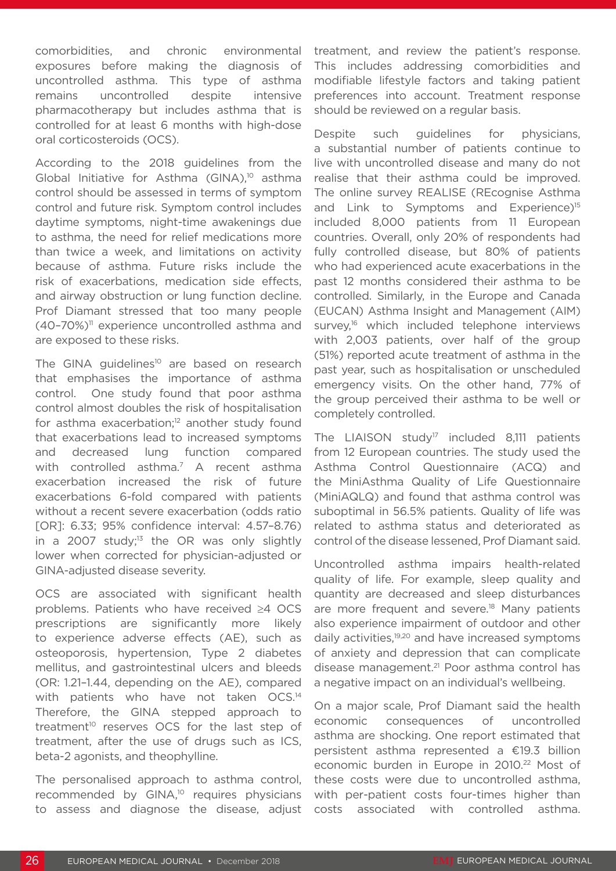comorbidities, and chronic environmental exposures before making the diagnosis of uncontrolled asthma. This type of asthma remains uncontrolled despite intensive pharmacotherapy but includes asthma that is controlled for at least 6 months with high-dose oral corticosteroids (OCS).

According to the 2018 guidelines from the Global Initiative for Asthma (GINA), $10$  asthma control should be assessed in terms of symptom control and future risk. Symptom control includes daytime symptoms, night-time awakenings due to asthma, the need for relief medications more than twice a week, and limitations on activity because of asthma. Future risks include the risk of exacerbations, medication side effects, and airway obstruction or lung function decline. Prof Diamant stressed that too many people  $(40-70%)$ <sup>11</sup> experience uncontrolled asthma and are exposed to these risks.

The GINA guidelines<sup>10</sup> are based on research that emphasises the importance of asthma control. One study found that poor asthma control almost doubles the risk of hospitalisation for asthma exacerbation;<sup>12</sup> another study found that exacerbations lead to increased symptoms and decreased lung function compared with controlled asthma.<sup>7</sup> A recent asthma exacerbation increased the risk of future exacerbations 6-fold compared with patients without a recent severe exacerbation (odds ratio [OR]: 6.33; 95% confidence interval: 4.57–8.76) in a 2007 study;<sup>13</sup> the OR was only slightly lower when corrected for physician-adjusted or GINA-adjusted disease severity.

OCS are associated with significant health problems. Patients who have received ≥4 OCS prescriptions are significantly more likely to experience adverse effects (AE), such as osteoporosis, hypertension, Type 2 diabetes mellitus, and gastrointestinal ulcers and bleeds (OR: 1.21–1.44, depending on the AE), compared with patients who have not taken OCS.<sup>14</sup> Therefore, the GINA stepped approach to treatment<sup>10</sup> reserves OCS for the last step of treatment, after the use of drugs such as ICS, beta-2 agonists, and theophylline.

The personalised approach to asthma control, recommended by GINA,<sup>10</sup> requires physicians to assess and diagnose the disease, adjust treatment, and review the patient's response. This includes addressing comorbidities and modifiable lifestyle factors and taking patient preferences into account. Treatment response should be reviewed on a regular basis.

Despite such guidelines for physicians, a substantial number of patients continue to live with uncontrolled disease and many do not realise that their asthma could be improved. The online survey REALISE (REcognise Asthma and Link to Symptoms and Experience)<sup>15</sup> included 8,000 patients from 11 European countries. Overall, only 20% of respondents had fully controlled disease, but 80% of patients who had experienced acute exacerbations in the past 12 months considered their asthma to be controlled. Similarly, in the Europe and Canada (EUCAN) Asthma Insight and Management (AIM) survey,<sup>16</sup> which included telephone interviews with 2,003 patients, over half of the group (51%) reported acute treatment of asthma in the past year, such as hospitalisation or unscheduled emergency visits. On the other hand, 77% of the group perceived their asthma to be well or completely controlled.

The LIAISON study<sup>17</sup> included 8,111 patients from 12 European countries. The study used the Asthma Control Questionnaire (ACQ) and the MiniAsthma Quality of Life Questionnaire (MiniAQLQ) and found that asthma control was suboptimal in 56.5% patients. Quality of life was related to asthma status and deteriorated as control of the disease lessened, Prof Diamant said.

Uncontrolled asthma impairs health-related quality of life. For example, sleep quality and quantity are decreased and sleep disturbances are more frequent and severe.<sup>18</sup> Many patients also experience impairment of outdoor and other daily activities,<sup>19,20</sup> and have increased symptoms of anxiety and depression that can complicate disease management.21 Poor asthma control has a negative impact on an individual's wellbeing.

On a major scale, Prof Diamant said the health economic consequences of uncontrolled asthma are shocking. One report estimated that persistent asthma represented a €19.3 billion economic burden in Europe in 2010.<sup>22</sup> Most of these costs were due to uncontrolled asthma, with per-patient costs four-times higher than costs associated with controlled asthma.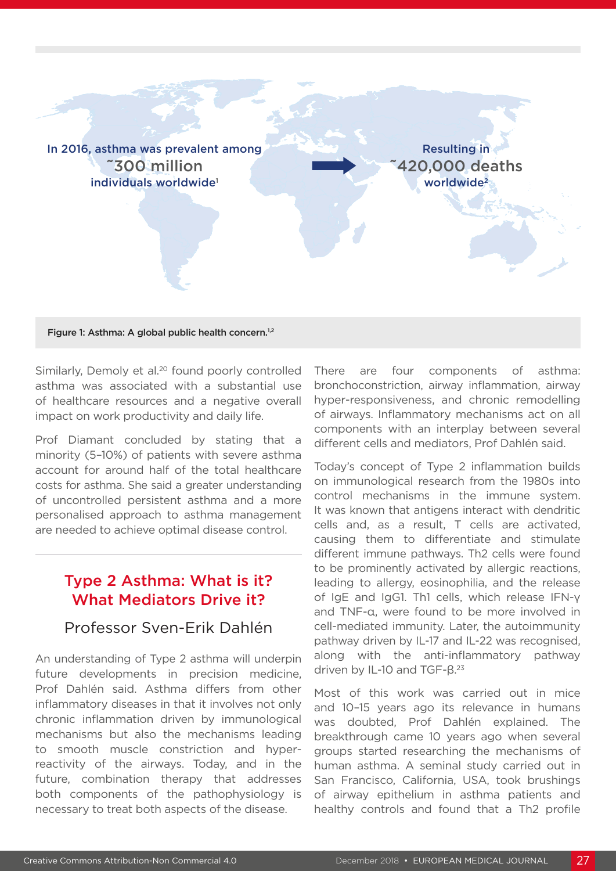

#### Figure 1: Asthma: A global public health concern.<sup>1,2</sup>

Similarly, Demoly et al.<sup>20</sup> found poorly controlled asthma was associated with a substantial use of healthcare resources and a negative overall impact on work productivity and daily life.

Prof Diamant concluded by stating that a minority (5–10%) of patients with severe asthma account for around half of the total healthcare costs for asthma. She said a greater understanding of uncontrolled persistent asthma and a more personalised approach to asthma management are needed to achieve optimal disease control.

### Type 2 Asthma: What is it? What Mediators Drive it?

# Professor Sven-Erik Dahlén

An understanding of Type 2 asthma will underpin future developments in precision medicine, Prof Dahlén said. Asthma differs from other inflammatory diseases in that it involves not only chronic inflammation driven by immunological mechanisms but also the mechanisms leading to smooth muscle constriction and hyperreactivity of the airways. Today, and in the future, combination therapy that addresses both components of the pathophysiology is necessary to treat both aspects of the disease.

There are four components of asthma: bronchoconstriction, airway inflammation, airway hyper-responsiveness, and chronic remodelling of airways. Inflammatory mechanisms act on all components with an interplay between several different cells and mediators, Prof Dahlén said.

Today's concept of Type 2 inflammation builds on immunological research from the 1980s into control mechanisms in the immune system. It was known that antigens interact with dendritic cells and, as a result, T cells are activated, causing them to differentiate and stimulate different immune pathways. Th2 cells were found to be prominently activated by allergic reactions, leading to allergy, eosinophilia, and the release of IgE and IgG1. Th1 cells, which release IFN-γ and TNF-α, were found to be more involved in cell-mediated immunity. Later, the autoimmunity pathway driven by IL-17 and IL-22 was recognised, along with the anti-inflammatory pathway driven by IL-10 and TGF-β.<sup>23</sup>

Most of this work was carried out in mice and 10–15 years ago its relevance in humans was doubted, Prof Dahlén explained. The breakthrough came 10 years ago when several groups started researching the mechanisms of human asthma. A seminal study carried out in San Francisco, California, USA, took brushings of airway epithelium in asthma patients and healthy controls and found that a Th2 profile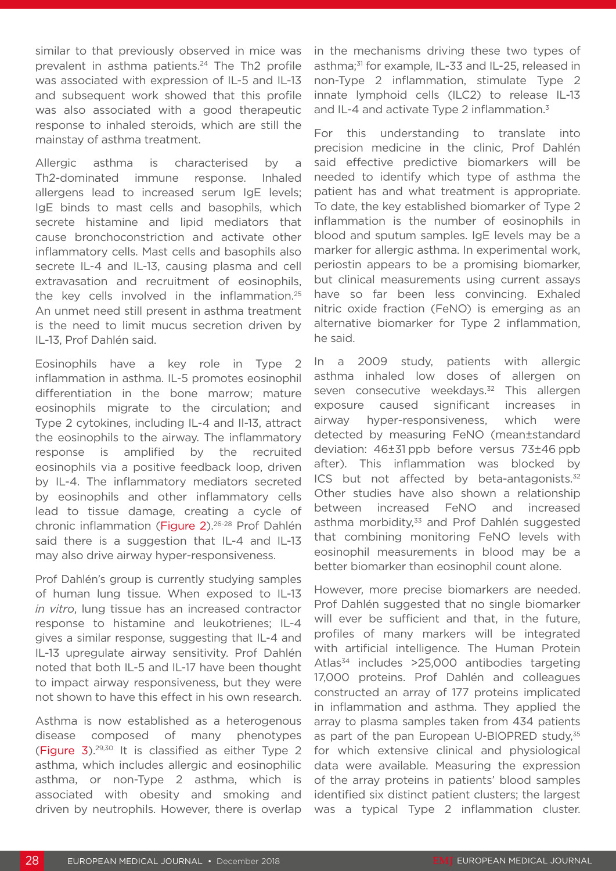similar to that previously observed in mice was prevalent in asthma patients.<sup>24</sup> The Th<sub>2</sub> profile was associated with expression of IL-5 and IL-13 and subsequent work showed that this profile was also associated with a good therapeutic response to inhaled steroids, which are still the mainstay of asthma treatment.

Allergic asthma is characterised by a Th2-dominated immune response. Inhaled allergens lead to increased serum IgE levels; IgE binds to mast cells and basophils, which secrete histamine and lipid mediators that cause bronchoconstriction and activate other inflammatory cells. Mast cells and basophils also secrete IL-4 and IL-13, causing plasma and cell extravasation and recruitment of eosinophils, the key cells involved in the inflammation.25 An unmet need still present in asthma treatment is the need to limit mucus secretion driven by IL-13, Prof Dahlén said.

Eosinophils have a key role in Type 2 inflammation in asthma. IL-5 promotes eosinophil differentiation in the bone marrow; mature eosinophils migrate to the circulation; and Type 2 cytokines, including IL-4 and Il-13, attract the eosinophils to the airway. The inflammatory response is amplified by the recruited eosinophils via a positive feedback loop, driven by IL-4. The inflammatory mediators secreted by eosinophils and other inflammatory cells lead to tissue damage, creating a cycle of chronic inflammation (Figure 2).26-28 Prof Dahlén said there is a suggestion that IL-4 and IL-13 may also drive airway hyper-responsiveness.

Prof Dahlén's group is currently studying samples of human lung tissue. When exposed to IL-13 *in vitro*, lung tissue has an increased contractor response to histamine and leukotrienes; IL-4 gives a similar response, suggesting that IL-4 and IL-13 upregulate airway sensitivity. Prof Dahlén noted that both IL-5 and IL-17 have been thought to impact airway responsiveness, but they were not shown to have this effect in his own research.

Asthma is now established as a heterogenous disease composed of many phenotypes (Figure 3).29,30 It is classified as either Type 2 asthma, which includes allergic and eosinophilic asthma, or non-Type 2 asthma, which is associated with obesity and smoking and driven by neutrophils. However, there is overlap in the mechanisms driving these two types of asthma;<sup>31</sup> for example, IL-33 and IL-25, released in non-Type 2 inflammation, stimulate Type 2 innate lymphoid cells (ILC2) to release IL-13 and IL-4 and activate Type 2 inflammation.<sup>3</sup>

For this understanding to translate into precision medicine in the clinic, Prof Dahlén said effective predictive biomarkers will be needed to identify which type of asthma the patient has and what treatment is appropriate. To date, the key established biomarker of Type 2 inflammation is the number of eosinophils in blood and sputum samples. IgE levels may be a marker for allergic asthma. In experimental work, periostin appears to be a promising biomarker, but clinical measurements using current assays have so far been less convincing. Exhaled nitric oxide fraction (FeNO) is emerging as an alternative biomarker for Type 2 inflammation, he said.

In a 2009 study, patients with allergic asthma inhaled low doses of allergen on seven consecutive weekdays.<sup>32</sup> This allergen exposure caused significant increases in airway hyper-responsiveness, which were detected by measuring FeNO (mean±standard deviation: 46±31 ppb before versus 73±46 ppb after). This inflammation was blocked by ICS but not affected by beta-antagonists. $32$ Other studies have also shown a relationship between increased FeNO and increased asthma morbidity,<sup>33</sup> and Prof Dahlén suggested that combining monitoring FeNO levels with eosinophil measurements in blood may be a better biomarker than eosinophil count alone.

However, more precise biomarkers are needed. Prof Dahlén suggested that no single biomarker will ever be sufficient and that, in the future, profiles of many markers will be integrated with artificial intelligence. The Human Protein Atlas<sup>34</sup> includes >25,000 antibodies targeting 17,000 proteins. Prof Dahlén and colleagues constructed an array of 177 proteins implicated in inflammation and asthma. They applied the array to plasma samples taken from 434 patients as part of the pan European U-BIOPRED study,<sup>35</sup> for which extensive clinical and physiological data were available. Measuring the expression of the array proteins in patients' blood samples identified six distinct patient clusters; the largest was a typical Type 2 inflammation cluster.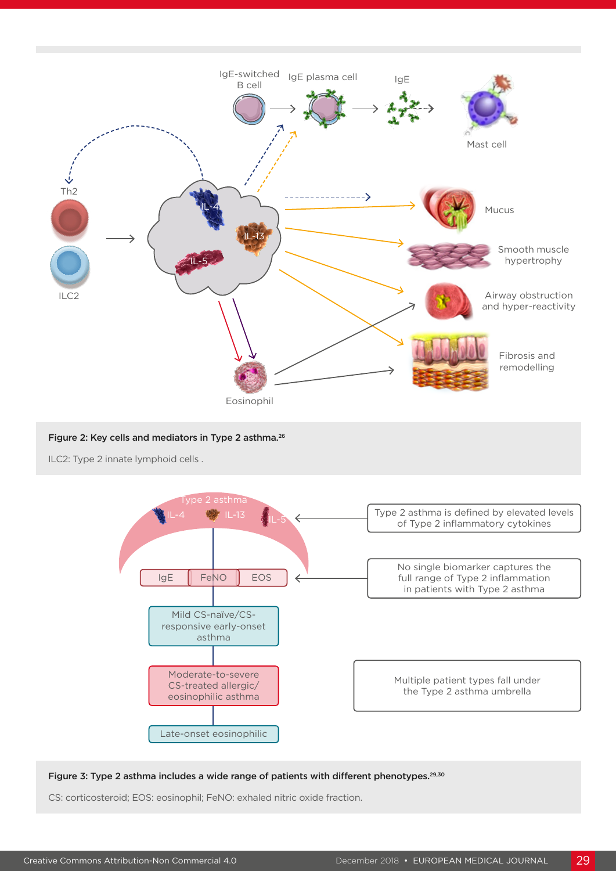

#### Figure 2: Key cells and mediators in Type 2 asthma.26

ILC2: Type 2 innate lymphoid cells .



#### Figure 3: Type 2 asthma includes a wide range of patients with different phenotypes.<sup>29,30</sup>

CS: corticosteroid; EOS: eosinophil; FeNO: exhaled nitric oxide fraction.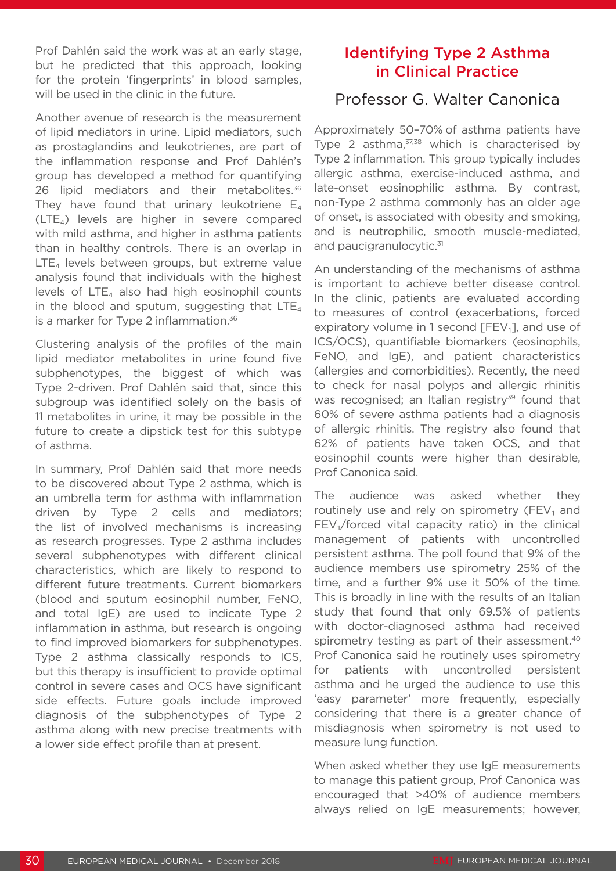Prof Dahlén said the work was at an early stage, but he predicted that this approach, looking for the protein 'fingerprints' in blood samples, will be used in the clinic in the future.

Another avenue of research is the measurement of lipid mediators in urine. Lipid mediators, such as prostaglandins and leukotrienes, are part of the inflammation response and Prof Dahlén's group has developed a method for quantifying 26 lipid mediators and their metabolites.<sup>36</sup> They have found that urinary leukotriene  $E_4$ (LTE₄) levels are higher in severe compared with mild asthma, and higher in asthma patients than in healthy controls. There is an overlap in  $LTE<sub>4</sub>$  levels between groups, but extreme value analysis found that individuals with the highest levels of  $LTE_4$  also had high eosinophil counts in the blood and sputum, suggesting that  $LTE_4$ is a marker for Type 2 inflammation.<sup>36</sup>

Clustering analysis of the profiles of the main lipid mediator metabolites in urine found five subphenotypes, the biggest of which was Type 2-driven. Prof Dahlén said that, since this subgroup was identified solely on the basis of 11 metabolites in urine, it may be possible in the future to create a dipstick test for this subtype of asthma.

In summary, Prof Dahlén said that more needs to be discovered about Type 2 asthma, which is an umbrella term for asthma with inflammation driven by Type 2 cells and mediators; the list of involved mechanisms is increasing as research progresses. Type 2 asthma includes several subphenotypes with different clinical characteristics, which are likely to respond to different future treatments. Current biomarkers (blood and sputum eosinophil number, FeNO, and total IgE) are used to indicate Type 2 inflammation in asthma, but research is ongoing to find improved biomarkers for subphenotypes. Type 2 asthma classically responds to ICS, but this therapy is insufficient to provide optimal control in severe cases and OCS have significant side effects. Future goals include improved diagnosis of the subphenotypes of Type 2 asthma along with new precise treatments with a lower side effect profile than at present.

# Identifying Type 2 Asthma in Clinical Practice

## Professor G. Walter Canonica

Approximately 50–70% of asthma patients have Type 2 asthma,<sup>37,38</sup> which is characterised by Type 2 inflammation. This group typically includes allergic asthma, exercise-induced asthma, and late-onset eosinophilic asthma. By contrast, non-Type 2 asthma commonly has an older age of onset, is associated with obesity and smoking, and is neutrophilic, smooth muscle-mediated, and paucigranulocytic.<sup>31</sup>

An understanding of the mechanisms of asthma is important to achieve better disease control. In the clinic, patients are evaluated according to measures of control (exacerbations, forced expiratory volume in 1 second [FEV<sub>1</sub>], and use of ICS/OCS), quantifiable biomarkers (eosinophils, FeNO, and IgE), and patient characteristics (allergies and comorbidities). Recently, the need to check for nasal polyps and allergic rhinitis was recognised; an Italian registry<sup>39</sup> found that 60% of severe asthma patients had a diagnosis of allergic rhinitis. The registry also found that 62% of patients have taken OCS, and that eosinophil counts were higher than desirable, Prof Canonica said.

The audience was asked whether they routinely use and rely on spirometry (FEV₁ and  $FEV<sub>1</sub>/forced$  vital capacity ratio) in the clinical management of patients with uncontrolled persistent asthma. The poll found that 9% of the audience members use spirometry 25% of the time, and a further 9% use it 50% of the time. This is broadly in line with the results of an Italian study that found that only 69.5% of patients with doctor-diagnosed asthma had received spirometry testing as part of their assessment.<sup>40</sup> Prof Canonica said he routinely uses spirometry for patients with uncontrolled persistent asthma and he urged the audience to use this 'easy parameter' more frequently, especially considering that there is a greater chance of misdiagnosis when spirometry is not used to measure lung function.

When asked whether they use IgE measurements to manage this patient group, Prof Canonica was encouraged that >40% of audience members always relied on IgE measurements; however,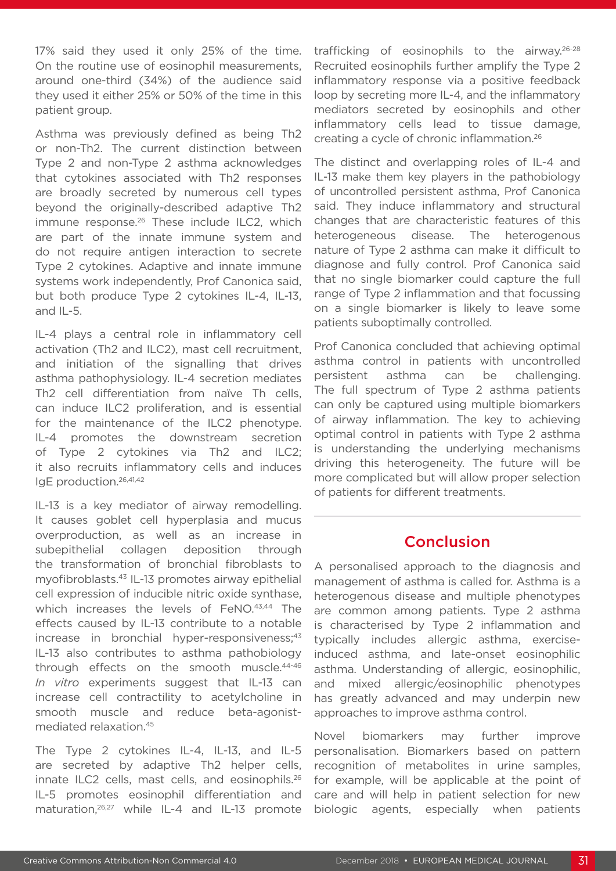17% said they used it only 25% of the time. On the routine use of eosinophil measurements, around one-third (34%) of the audience said they used it either 25% or 50% of the time in this patient group.

Asthma was previously defined as being Th2 or non-Th2. The current distinction between Type 2 and non-Type 2 asthma acknowledges that cytokines associated with Th2 responses are broadly secreted by numerous cell types beyond the originally-described adaptive Th2 immune response.<sup>26</sup> These include ILC2, which are part of the innate immune system and do not require antigen interaction to secrete Type 2 cytokines. Adaptive and innate immune systems work independently, Prof Canonica said, but both produce Type 2 cytokines IL-4, IL-13, and IL-5.

IL-4 plays a central role in inflammatory cell activation (Th2 and ILC2), mast cell recruitment, and initiation of the signalling that drives asthma pathophysiology. IL-4 secretion mediates Th2 cell differentiation from naïve Th cells, can induce ILC2 proliferation, and is essential for the maintenance of the ILC2 phenotype. IL-4 promotes the downstream secretion of Type 2 cytokines via Th2 and ILC2; it also recruits inflammatory cells and induces IgE production.26,41,42

IL-13 is a key mediator of airway remodelling. It causes goblet cell hyperplasia and mucus overproduction, as well as an increase in subepithelial collagen deposition through the transformation of bronchial fibroblasts to myofibroblasts.43 IL-13 promotes airway epithelial cell expression of inducible nitric oxide synthase, which increases the levels of FeNO.<sup>43,44</sup> The effects caused by IL-13 contribute to a notable increase in bronchial hyper-responsiveness;<sup>43</sup> IL-13 also contributes to asthma pathobiology through effects on the smooth muscle.44-46 *In vitro* experiments suggest that IL-13 can increase cell contractility to acetylcholine in smooth muscle and reduce beta-agonistmediated relaxation.45

The Type 2 cytokines IL-4, IL-13, and IL-5 are secreted by adaptive Th2 helper cells, innate ILC2 cells, mast cells, and eosinophils.<sup>26</sup> IL-5 promotes eosinophil differentiation and maturation,26,27 while IL-4 and IL-13 promote

trafficking of eosinophils to the airway.26-28 Recruited eosinophils further amplify the Type 2 inflammatory response via a positive feedback loop by secreting more IL-4, and the inflammatory mediators secreted by eosinophils and other inflammatory cells lead to tissue damage, creating a cycle of chronic inflammation.26

The distinct and overlapping roles of IL-4 and IL-13 make them key players in the pathobiology of uncontrolled persistent asthma, Prof Canonica said. They induce inflammatory and structural changes that are characteristic features of this heterogeneous disease. The heterogenous nature of Type 2 asthma can make it difficult to diagnose and fully control. Prof Canonica said that no single biomarker could capture the full range of Type 2 inflammation and that focussing on a single biomarker is likely to leave some patients suboptimally controlled.

Prof Canonica concluded that achieving optimal asthma control in patients with uncontrolled persistent asthma can be challenging. The full spectrum of Type 2 asthma patients can only be captured using multiple biomarkers of airway inflammation. The key to achieving optimal control in patients with Type 2 asthma is understanding the underlying mechanisms driving this heterogeneity. The future will be more complicated but will allow proper selection of patients for different treatments.

### Conclusion

A personalised approach to the diagnosis and management of asthma is called for. Asthma is a heterogenous disease and multiple phenotypes are common among patients. Type 2 asthma is characterised by Type 2 inflammation and typically includes allergic asthma, exerciseinduced asthma, and late-onset eosinophilic asthma. Understanding of allergic, eosinophilic, and mixed allergic/eosinophilic phenotypes has greatly advanced and may underpin new approaches to improve asthma control.

Novel biomarkers may further improve personalisation. Biomarkers based on pattern recognition of metabolites in urine samples, for example, will be applicable at the point of care and will help in patient selection for new biologic agents, especially when patients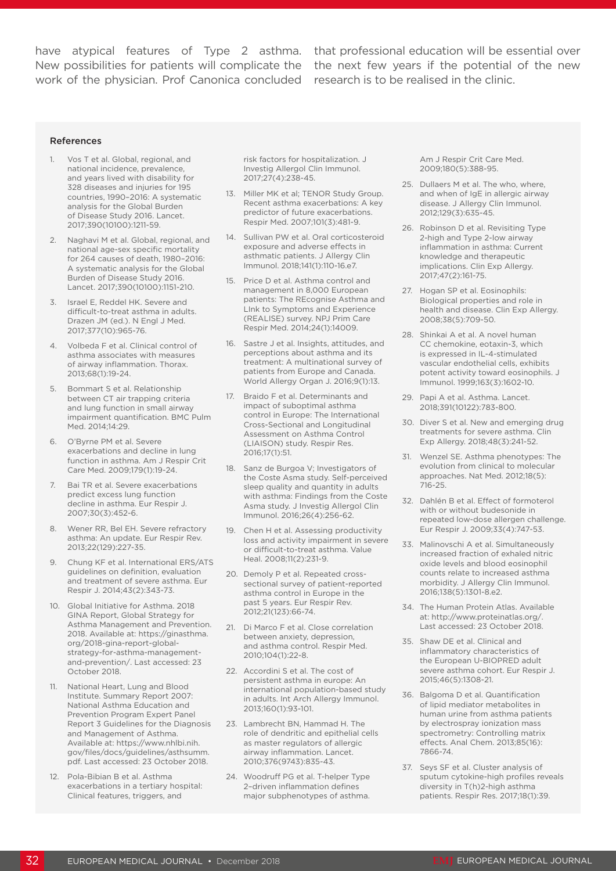work of the physician. Prof Canonica concluded research is to be realised in the clinic.

have atypical features of Type 2 asthma. that professional education will be essential over New possibilities for patients will complicate the the next few years if the potential of the new

#### References

- Vos T et al. Global, regional, and national incidence, prevalence, and years lived with disability for 328 diseases and injuries for 195 countries, 1990–2016: A systematic analysis for the Global Burden of Disease Study 2016. Lancet. 2017;390(10100):1211-59.
- 2. Naghavi M et al. Global, regional, and national age-sex specific mortality for 264 causes of death, 1980–2016: A systematic analysis for the Global Burden of Disease Study 2016. Lancet. 2017;390(10100):1151-210.
- 3. Israel E, Reddel HK. Severe and difficult-to-treat asthma in adults. Drazen JM (ed.). N Engl J Med. 2017;377(10):965-76.
- 4. Volbeda F et al. Clinical control of asthma associates with measures of airway inflammation. Thorax. 2013;68(1):19-24.
- 5. Bommart S et al. Relationship between CT air trapping criteria and lung function in small airway impairment quantification. BMC Pulm Med. 2014;14:29.
- 6. O'Byrne PM et al. Severe exacerbations and decline in lung function in asthma. Am J Respir Crit Care Med. 2009;179(1):19-24.
- 7. Bai TR et al. Severe exacerbations predict excess lung function decline in asthma. Eur Respir J. 2007;30(3):452-6.
- 8. Wener RR, Bel EH. Severe refractory asthma: An update. Eur Respir Rev. 2013;22(129):227-35.
- 9. Chung KF et al. International ERS/ATS guidelines on definition, evaluation and treatment of severe asthma. Eur Respir J. 2014;43(2):343-73.
- 10. Global Initiative for Asthma. 2018 GINA Report, Global Strategy for Asthma Management and Prevention. 2018. Available at: https://ginasthma. org/2018-gina-report-globalstrategy-for-asthma-managementand-prevention/. Last accessed: 23 October 2018.
- 11. National Heart, Lung and Blood Institute. Summary Report 2007: National Asthma Education and Prevention Program Expert Panel Report 3 Guidelines for the Diagnosis and Management of Asthma. Available at: https://www.nhlbi.nih. gov/files/docs/guidelines/asthsumm. pdf. Last accessed: 23 October 2018.
- 12. Pola-Bibian B et al. Asthma exacerbations in a tertiary hospital: Clinical features, triggers, and

risk factors for hospitalization. J Investig Allergol Clin Immunol. 2017;27(4):238-45.

- 13. Miller MK et al; TENOR Study Group. Recent asthma exacerbations: A key predictor of future exacerbations. Respir Med. 2007;101(3):481-9.
- 14. Sullivan PW et al. Oral corticosteroid exposure and adverse effects in asthmatic patients. J Allergy Clin Immunol. 2018;141(1):110-16.e7.
- 15. Price D et al. Asthma control and management in 8,000 European patients: The REcognise Asthma and LInk to Symptoms and Experience (REALISE) survey. NPJ Prim Care Respir Med. 2014;24(1):14009.
- 16. Sastre J et al. Insights, attitudes, and perceptions about asthma and its treatment: A multinational survey of patients from Europe and Canada. World Allergy Organ J. 2016;9(1):13.
- 17. Braido F et al. Determinants and impact of suboptimal asthma control in Europe: The International Cross-Sectional and Longitudinal Assessment on Asthma Control (LIAISON) study. Respir Res. 2016;17(1):51.
- 18. Sanz de Burgoa V; Investigators of the Coste Asma study. Self-perceived sleep quality and quantity in adults with asthma: Findings from the Coste Asma study. J Investig Allergol Clin Immunol. 2016;26(4):256-62.
- 19. Chen H et al. Assessing productivity loss and activity impairment in severe or difficult-to-treat asthma. Value Heal. 2008;11(2):231-9.
- 20. Demoly P et al. Repeated crosssectional survey of patient-reported asthma control in Europe in the past 5 years. Eur Respir Rev. 2012;21(123):66-74.
- 21. Di Marco F et al. Close correlation between anxiety, depression, and asthma control. Respir Med. 2010;104(1):22-8.
- 22. Accordini S et al. The cost of persistent asthma in europe: An international population-based study in adults. Int Arch Allergy Immunol. 2013;160(1):93-101.
- 23. Lambrecht BN, Hammad H. The role of dendritic and epithelial cells as master regulators of allergic airway inflammation. Lancet. 2010;376(9743):835-43.
- 24. Woodruff PG et al. T-helper Type 2–driven inflammation defines major subphenotypes of asthma.

Am J Respir Crit Care Med. 2009;180(5):388-95.

- 25. Dullaers M et al. The who, where, and when of IgE in allergic airway disease. J Allergy Clin Immunol. 2012;129(3):635-45.
- 26. Robinson D et al. Revisiting Type 2-high and Type 2-low airway inflammation in asthma: Current knowledge and therapeutic implications. Clin Exp Allergy. 2017;47(2):161-75.
- 27. Hogan SP et al. Eosinophils: Biological properties and role in health and disease. Clin Exp Allergy. 2008;38(5):709-50.
- 28. Shinkai A et al. A novel human CC chemokine, eotaxin-3, which is expressed in IL-4-stimulated vascular endothelial cells, exhibits potent activity toward eosinophils. J Immunol. 1999;163(3):1602-10.
- 29. Papi A et al. Asthma. Lancet. 2018;391(10122):783-800.
- 30. Diver S et al. New and emerging drug treatments for severe asthma. Clin Exp Allergy. 2018;48(3):241-52.
- 31. Wenzel SE. Asthma phenotypes: The evolution from clinical to molecular approaches. Nat Med. 2012;18(5): 716-25.
- 32. Dahlén B et al. Effect of formoterol with or without budesonide in repeated low-dose allergen challenge. Eur Respir J. 2009;33(4):747-53.
- 33. Malinovschi A et al. Simultaneously increased fraction of exhaled nitric oxide levels and blood eosinophil counts relate to increased asthma morbidity. J Allergy Clin Immunol. 2016;138(5):1301-8.e2.
- 34. The Human Protein Atlas. Available at: http://www.proteinatlas.org/. Last accessed: 23 October 2018.
- 35. Shaw DE et al. Clinical and inflammatory characteristics of the European U-BIOPRED adult severe asthma cohort. Eur Respir J. 2015;46(5):1308-21.
- 36. Balgoma D et al. Quantification of lipid mediator metabolites in human urine from asthma patients by electrospray ionization mass spectrometry: Controlling matrix effects. Anal Chem. 2013;85(16): 7866-74.
- 37. Seys SF et al. Cluster analysis of sputum cytokine-high profiles reveals diversity in T(h)2-high asthma patients. Respir Res. 2017;18(1):39.